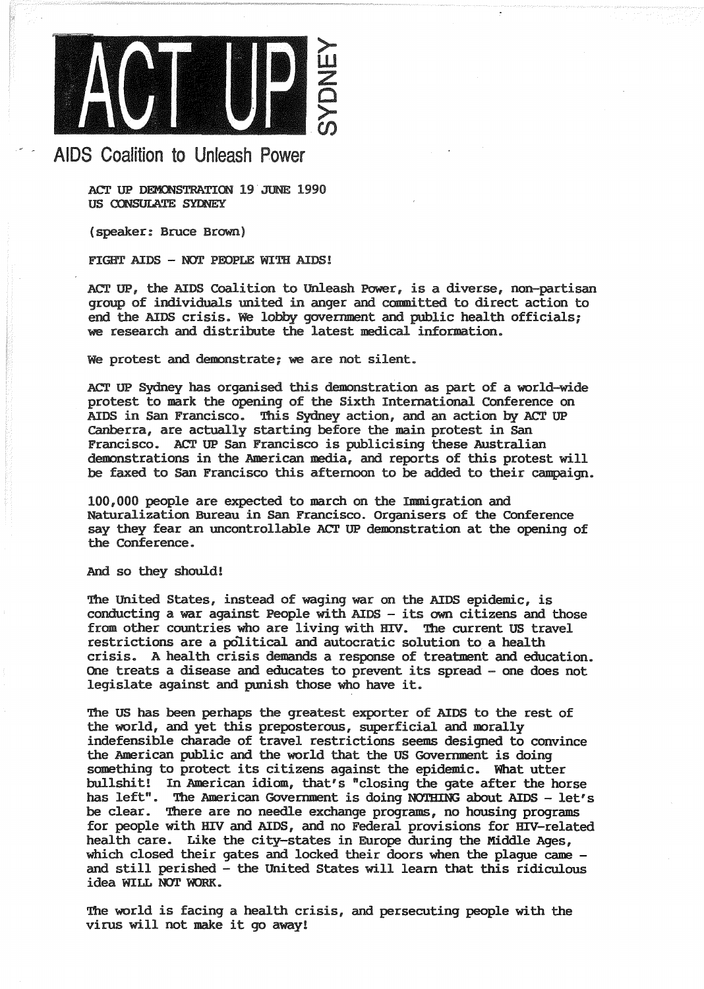

## AIDS Coalition to Unleash Power

ACT UP DEMONSTRATION 19 JUNE 1990 US CONSULATE SYDNEY

(speaker: Bruce Brown)

FIGHT AIDS - NOT PEOPLE WITH AIDS!

ACT UP, the AIDS Coalition to Unleash Power, is a diverse, non-partisan group of individuals united in anger and committed to direct action to end the AIDS crisis. We lobby government and public health officials; we research and distribute the latest medical information.

We protest and demonstrate; we are not silent.

ACT UP Sydney has organised this demonstration as part of a world-wide protest to mark the opening of the Sixth International Conference on AIDS in San Francisco. This Sydney action, and an action by ACT UP canberra, are actually starting before the main protest in San Francisco. ACT UP San Francisco is publicising these Australian demonstrations in the American media, and reports of this protest will be faxed to San Francisco this afternoon to be added to their campaign.

100,000 people are expected to march on the Immigration and Naturalization Bureau in San Francisco. Organisers of the conference say they fear an uncontrollable ACT UP demonstration at the opening of the Conference.

And so they should!

The united States, instead of waging war on the AIDS epidemic, is conducting a war against People with AIDS - its own citizens and those from other countries who are living with HIV. The current US travel restrictions are a political and autocratic solution to a health crisis. A health crisis demands a response of treatment and education. One treats a disease and educates to prevent its spread - one does not legislate against and punish those who have it.

The US has been perhaps the greatest exporter of AIDS to the rest of the world, and yet this preposterous, superficial and morally indefensible charade of travel restrictions seems designed to convince the American public and the world that the US Government is doing something to protect its citizens against the epidemic. What utter bullshit! In American idiom, that's "closing the gate after the horse has left". The American Government is doing NOTHING about AIDS - let's be clear. There are no needle exchange programs, no housing programs for people with HIV and AIDS, and no Federal provisions for HIV-related health care. Like the city-states in Europe during the Middle Ages,<br>which closed their gates and locked their doors when the plaque came and still perished - the United States will learn that this ridiculous idea WILL NOT WORK.

The world is facing a health crisis, and persecuting people with the virus will not make it go away!